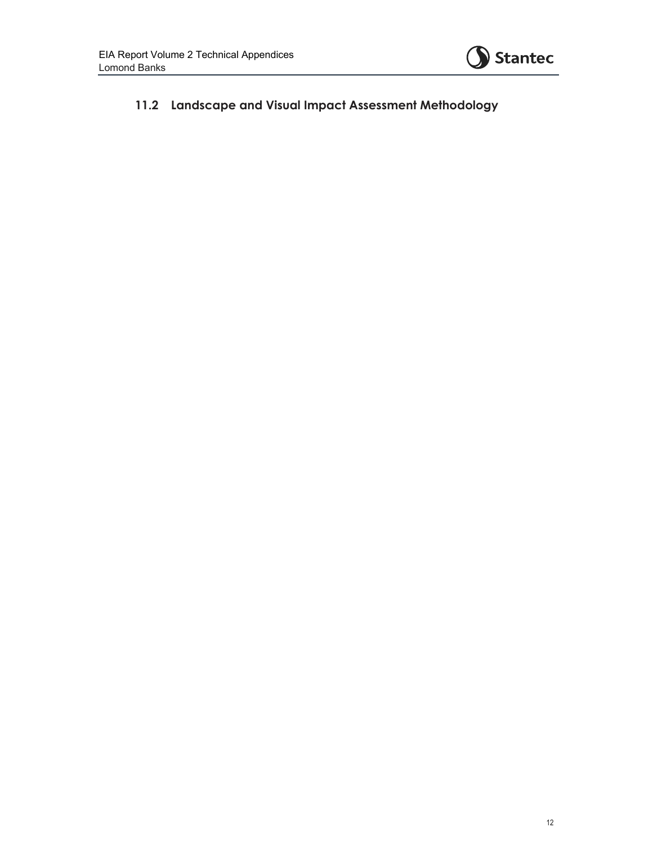

## **11.2 Landscape and Visual Impact Assessment Methodology**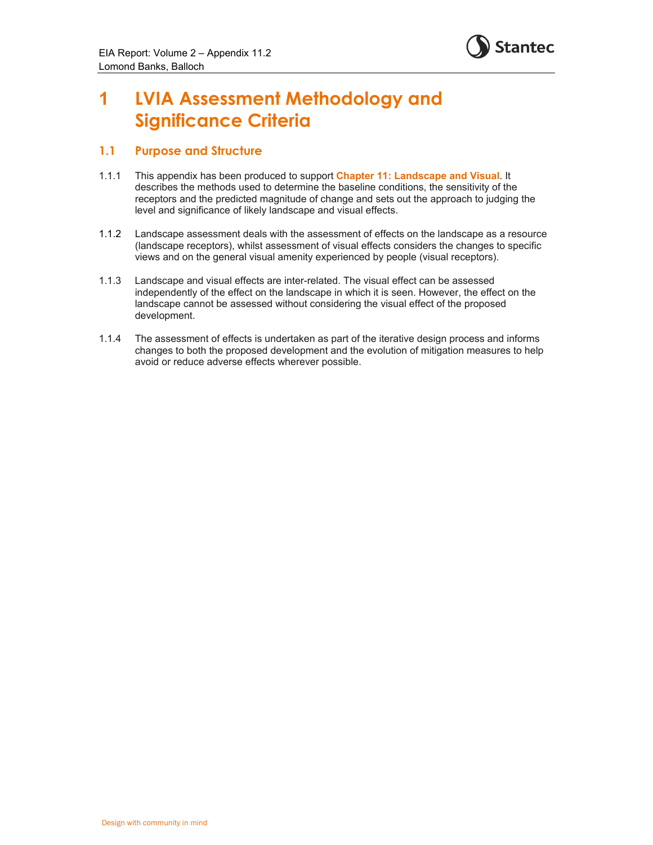

# **1 LVIA Assessment Methodology and Significance Criteria**

### **1.1 Purpose and Structure**

- 1.1.1 This appendix has been produced to support **Chapter 11: Landscape and Visual**. It describes the methods used to determine the baseline conditions, the sensitivity of the receptors and the predicted magnitude of change and sets out the approach to judging the level and significance of likely landscape and visual effects.
- 1.1.2 Landscape assessment deals with the assessment of effects on the landscape as a resource (landscape receptors), whilst assessment of visual effects considers the changes to specific views and on the general visual amenity experienced by people (visual receptors).
- 1.1.3 Landscape and visual effects are inter-related. The visual effect can be assessed independently of the effect on the landscape in which it is seen. However, the effect on the landscape cannot be assessed without considering the visual effect of the proposed development.
- 1.1.4 The assessment of effects is undertaken as part of the iterative design process and informs changes to both the proposed development and the evolution of mitigation measures to help avoid or reduce adverse effects wherever possible.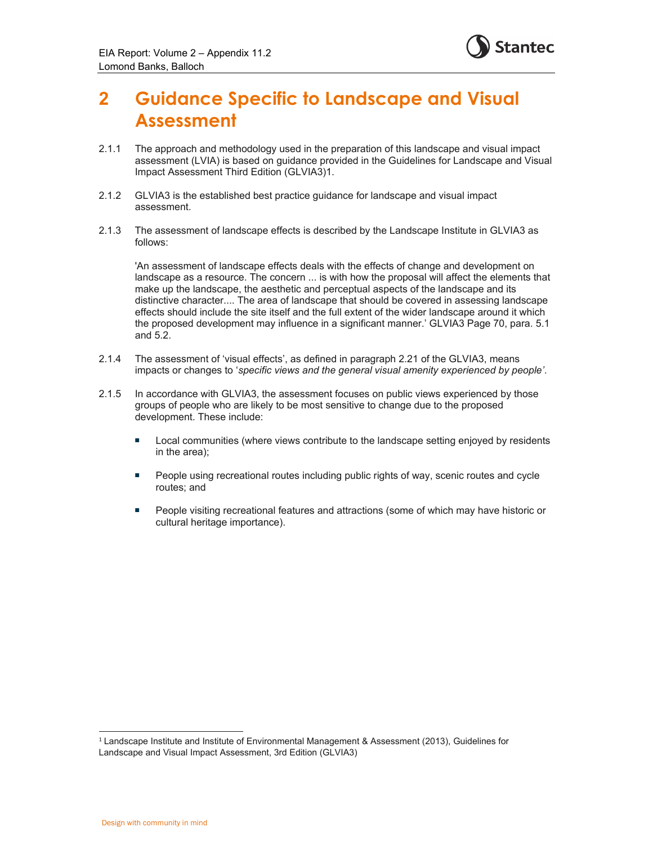

## **2 Guidance Specific to Landscape and Visual Assessment**

- 2.1.1 The approach and methodology used in the preparation of this landscape and visual impact assessment (LVIA) is based on guidance provided in the Guidelines for Landscape and Visual Impact Assessment Third Edition (GLVIA3)1.
- 2.1.2 GLVIA3 is the established best practice guidance for landscape and visual impact assessment.
- 2.1.3 The assessment of landscape effects is described by the Landscape Institute in GLVIA3 as follows:

'An assessment of landscape effects deals with the effects of change and development on landscape as a resource. The concern ... is with how the proposal will affect the elements that make up the landscape, the aesthetic and perceptual aspects of the landscape and its distinctive character.... The area of landscape that should be covered in assessing landscape effects should include the site itself and the full extent of the wider landscape around it which the proposed development may influence in a significant manner.' GLVIA3 Page 70, para. 5.1 and 5.2.

- 2.1.4 The assessment of 'visual effects', as defined in paragraph 2.21 of the GLVIA3, means impacts or changes to '*specific views and the general visual amenity experienced by people'*.
- 2.1.5 In accordance with GLVIA3, the assessment focuses on public views experienced by those groups of people who are likely to be most sensitive to change due to the proposed development. These include:
	- **Local communities (where views contribute to the landscape setting enjoyed by residents** in the area);
	- **People using recreational routes including public rights of way, scenic routes and cycle** routes; and
	- **People visiting recreational features and attractions (some of which may have historic or** cultural heritage importance).

<sup>1</sup> Landscape Institute and Institute of Environmental Management & Assessment (2013), Guidelines for Landscape and Visual Impact Assessment, 3rd Edition (GLVIA3)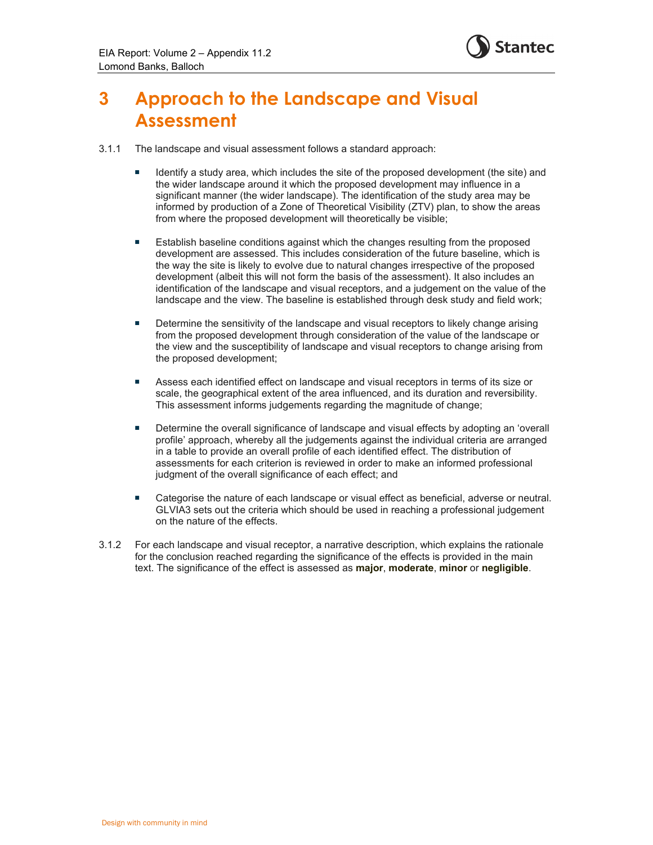

## **3 Approach to the Landscape and Visual Assessment**

- 3.1.1 The landscape and visual assessment follows a standard approach:
	- Identify a study area, which includes the site of the proposed development (the site) and the wider landscape around it which the proposed development may influence in a significant manner (the wider landscape). The identification of the study area may be informed by production of a Zone of Theoretical Visibility (ZTV) plan, to show the areas from where the proposed development will theoretically be visible;
	- **E** Establish baseline conditions against which the changes resulting from the proposed development are assessed. This includes consideration of the future baseline, which is the way the site is likely to evolve due to natural changes irrespective of the proposed development (albeit this will not form the basis of the assessment). It also includes an identification of the landscape and visual receptors, and a judgement on the value of the landscape and the view. The baseline is established through desk study and field work;
	- **Determine the sensitivity of the landscape and visual receptors to likely change arising** from the proposed development through consideration of the value of the landscape or the view and the susceptibility of landscape and visual receptors to change arising from the proposed development;
	- **Assess each identified effect on landscape and visual receptors in terms of its size or** scale, the geographical extent of the area influenced, and its duration and reversibility. This assessment informs judgements regarding the magnitude of change;
	- **Determine the overall significance of landscape and visual effects by adopting an 'overall** profile' approach, whereby all the judgements against the individual criteria are arranged in a table to provide an overall profile of each identified effect. The distribution of assessments for each criterion is reviewed in order to make an informed professional judgment of the overall significance of each effect; and
	- **EXECT** Categorise the nature of each landscape or visual effect as beneficial, adverse or neutral. GLVIA3 sets out the criteria which should be used in reaching a professional judgement on the nature of the effects.
- 3.1.2 For each landscape and visual receptor, a narrative description, which explains the rationale for the conclusion reached regarding the significance of the effects is provided in the main text. The significance of the effect is assessed as **major**, **moderate**, **minor** or **negligible**.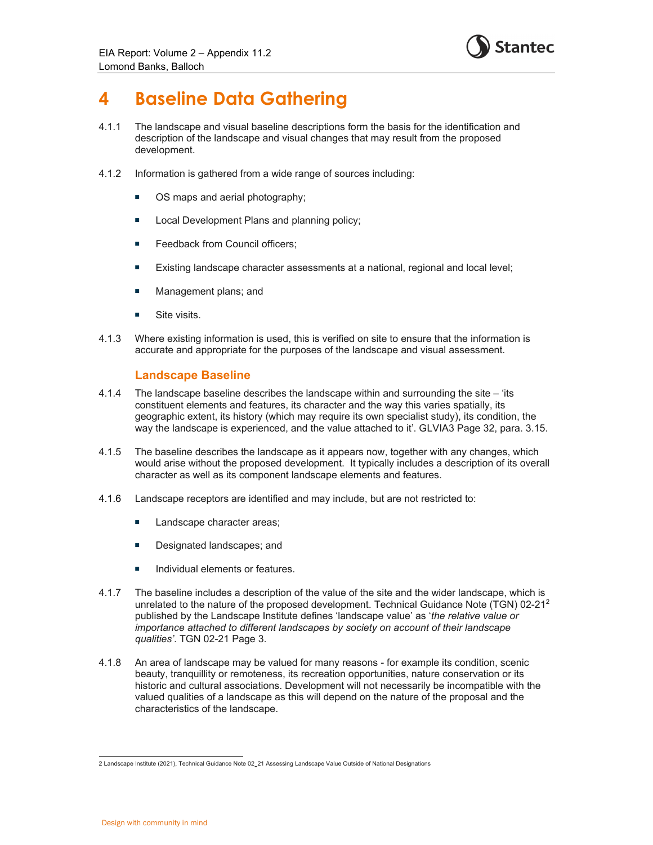

## **4 Baseline Data Gathering**

- 4.1.1 The landscape and visual baseline descriptions form the basis for the identification and description of the landscape and visual changes that may result from the proposed development.
- 4.1.2 Information is gathered from a wide range of sources including:
	- OS maps and aerial photography;
	- **Local Development Plans and planning policy;**
	- **Feedback from Council officers;**
	- Existing landscape character assessments at a national, regional and local level;
	- **Management plans; and**
	- **Site visits.**
- 4.1.3 Where existing information is used, this is verified on site to ensure that the information is accurate and appropriate for the purposes of the landscape and visual assessment.

### **Landscape Baseline**

- 4.1.4 The landscape baseline describes the landscape within and surrounding the site 'its constituent elements and features, its character and the way this varies spatially, its geographic extent, its history (which may require its own specialist study), its condition, the way the landscape is experienced, and the value attached to it'. GLVIA3 Page 32, para. 3.15.
- 4.1.5 The baseline describes the landscape as it appears now, together with any changes, which would arise without the proposed development. It typically includes a description of its overall character as well as its component landscape elements and features.
- 4.1.6 Landscape receptors are identified and may include, but are not restricted to:
	- **Landscape character areas;**
	- Designated landscapes; and
	- Individual elements or features.
- 4.1.7 The baseline includes a description of the value of the site and the wider landscape, which is unrelated to the nature of the proposed development. Technical Guidance Note (TGN) 02-212 published by the Landscape Institute defines 'landscape value' as '*the relative value or importance attached to different landscapes by society on account of their landscape qualities'*. TGN 02-21 Page 3.
- 4.1.8 An area of landscape may be valued for many reasons for example its condition, scenic beauty, tranquillity or remoteness, its recreation opportunities, nature conservation or its historic and cultural associations. Development will not necessarily be incompatible with the valued qualities of a landscape as this will depend on the nature of the proposal and the characteristics of the landscape.

<sup>2</sup> Landscape Institute (2021), Technical Guidance Note 02-21 Assessing Landscape Value Outside of National Designations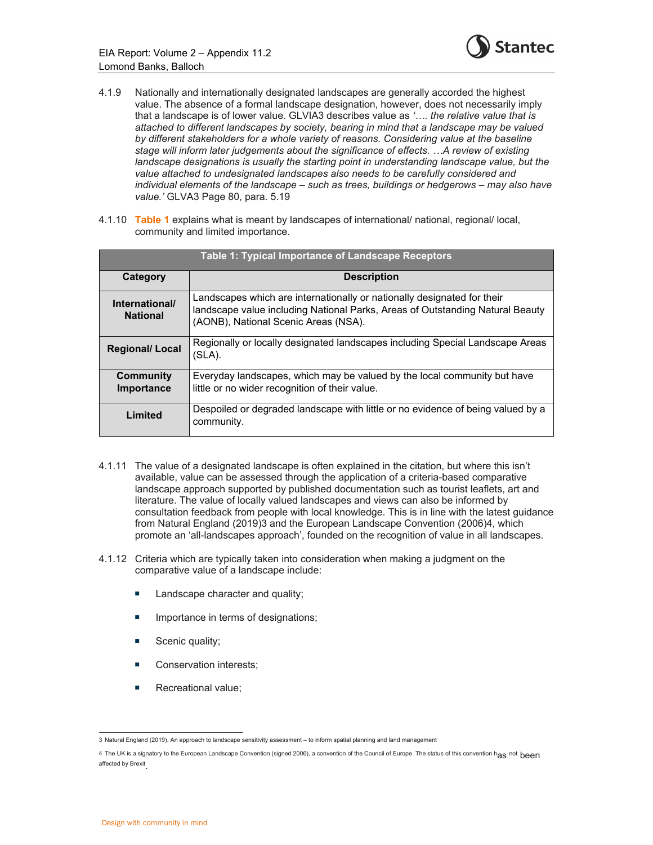

- 4.1.9 Nationally and internationally designated landscapes are generally accorded the highest value. The absence of a formal landscape designation, however, does not necessarily imply that a landscape is of lower value. GLVIA3 describes value as *'…. the relative value that is attached to different landscapes by society, bearing in mind that a landscape may be valued by different stakeholders for a whole variety of reasons. Considering value at the baseline stage will inform later judgements about the significance of effects. …A review of existing*  landscape designations is usually the starting point in understanding landscape value, but the *value attached to undesignated landscapes also needs to be carefully considered and individual elements of the landscape – such as trees, buildings or hedgerows – may also have value.'* GLVA3 Page 80, para. 5.19
- 4.1.10 **Table 1** explains what is meant by landscapes of international/ national, regional/ local, community and limited importance.

| <b>Table 1: Typical Importance of Landscape Receptors</b> |                                                                                                                                                                                                  |
|-----------------------------------------------------------|--------------------------------------------------------------------------------------------------------------------------------------------------------------------------------------------------|
| Category                                                  | <b>Description</b>                                                                                                                                                                               |
| International/<br><b>National</b>                         | Landscapes which are internationally or nationally designated for their<br>landscape value including National Parks, Areas of Outstanding Natural Beauty<br>(AONB), National Scenic Areas (NSA). |
| <b>Regional/ Local</b>                                    | Regionally or locally designated landscapes including Special Landscape Areas<br>(SLA).                                                                                                          |
| Community<br>Importance                                   | Everyday landscapes, which may be valued by the local community but have<br>little or no wider recognition of their value.                                                                       |
| Limited                                                   | Despoiled or degraded landscape with little or no evidence of being valued by a<br>community.                                                                                                    |

- 4.1.11 The value of a designated landscape is often explained in the citation, but where this isn't available, value can be assessed through the application of a criteria-based comparative landscape approach supported by published documentation such as tourist leaflets, art and literature. The value of locally valued landscapes and views can also be informed by consultation feedback from people with local knowledge. This is in line with the latest guidance from Natural England (2019)3 and the European Landscape Convention (2006)4, which promote an 'all-landscapes approach', founded on the recognition of value in all landscapes.
- 4.1.12 Criteria which are typically taken into consideration when making a judgment on the comparative value of a landscape include:
	- **EXEC** Landscape character and quality;
	- **IMPORTANCE IN THE IMPORTANCE IN THE IMPORTANCE:**
	- Scenic quality;
	- Conservation interests;
	- Recreational value;

<sup>3</sup> Natural England (2019), An approach to landscape sensitivity assessment – to inform spatial planning and land management

<sup>4</sup> The UK is a signatory to the European Landscape Convention (signed 2006), a convention of the Council of Europe. The status of this convention has not been affected by Brexit.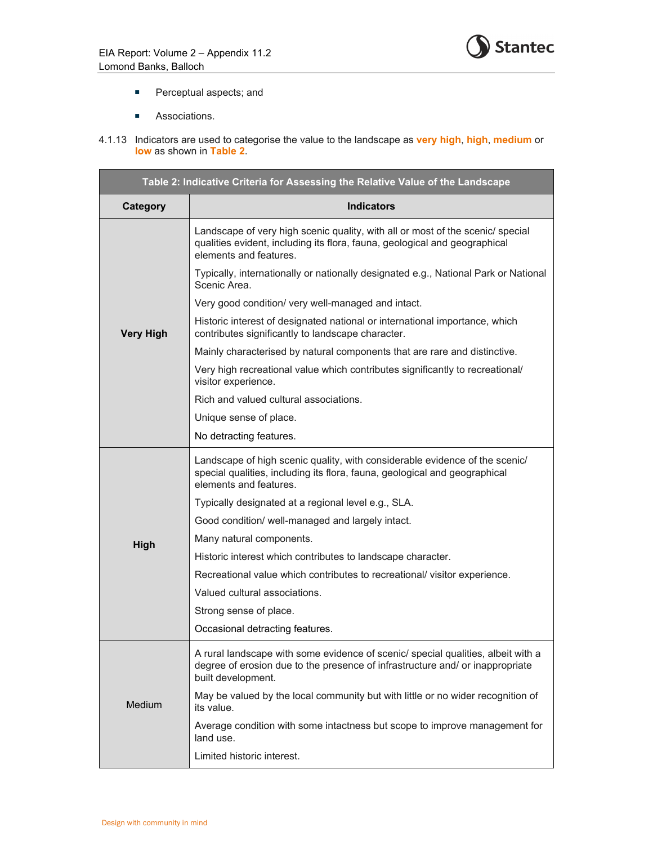

- **Perceptual aspects; and**
- **Associations.**
- 4.1.13 Indicators are used to categorise the value to the landscape as **very high**, **high**, **medium** or **low** as shown in **Table 2**.

| Table 2: Indicative Criteria for Assessing the Relative Value of the Landscape |                                                                                                                                                                                         |  |
|--------------------------------------------------------------------------------|-----------------------------------------------------------------------------------------------------------------------------------------------------------------------------------------|--|
| Category                                                                       | <b>Indicators</b>                                                                                                                                                                       |  |
|                                                                                | Landscape of very high scenic quality, with all or most of the scenic/ special<br>qualities evident, including its flora, fauna, geological and geographical<br>elements and features.  |  |
|                                                                                | Typically, internationally or nationally designated e.g., National Park or National<br>Scenic Area.                                                                                     |  |
|                                                                                | Very good condition/ very well-managed and intact.                                                                                                                                      |  |
| <b>Very High</b>                                                               | Historic interest of designated national or international importance, which<br>contributes significantly to landscape character.                                                        |  |
|                                                                                | Mainly characterised by natural components that are rare and distinctive.                                                                                                               |  |
|                                                                                | Very high recreational value which contributes significantly to recreational/<br>visitor experience.                                                                                    |  |
|                                                                                | Rich and valued cultural associations.                                                                                                                                                  |  |
|                                                                                | Unique sense of place.                                                                                                                                                                  |  |
|                                                                                | No detracting features.                                                                                                                                                                 |  |
|                                                                                | Landscape of high scenic quality, with considerable evidence of the scenic/<br>special qualities, including its flora, fauna, geological and geographical<br>elements and features.     |  |
|                                                                                | Typically designated at a regional level e.g., SLA.                                                                                                                                     |  |
|                                                                                | Good condition/ well-managed and largely intact.                                                                                                                                        |  |
| High                                                                           | Many natural components.                                                                                                                                                                |  |
|                                                                                | Historic interest which contributes to landscape character.                                                                                                                             |  |
|                                                                                | Recreational value which contributes to recreational/ visitor experience.                                                                                                               |  |
|                                                                                | Valued cultural associations.                                                                                                                                                           |  |
|                                                                                | Strong sense of place.                                                                                                                                                                  |  |
|                                                                                | Occasional detracting features.                                                                                                                                                         |  |
|                                                                                | A rural landscape with some evidence of scenic/ special qualities, albeit with a<br>degree of erosion due to the presence of infrastructure and/ or inappropriate<br>built development. |  |
| Medium                                                                         | May be valued by the local community but with little or no wider recognition of<br>its value.                                                                                           |  |
|                                                                                | Average condition with some intactness but scope to improve management for<br>land use.                                                                                                 |  |
|                                                                                | Limited historic interest.                                                                                                                                                              |  |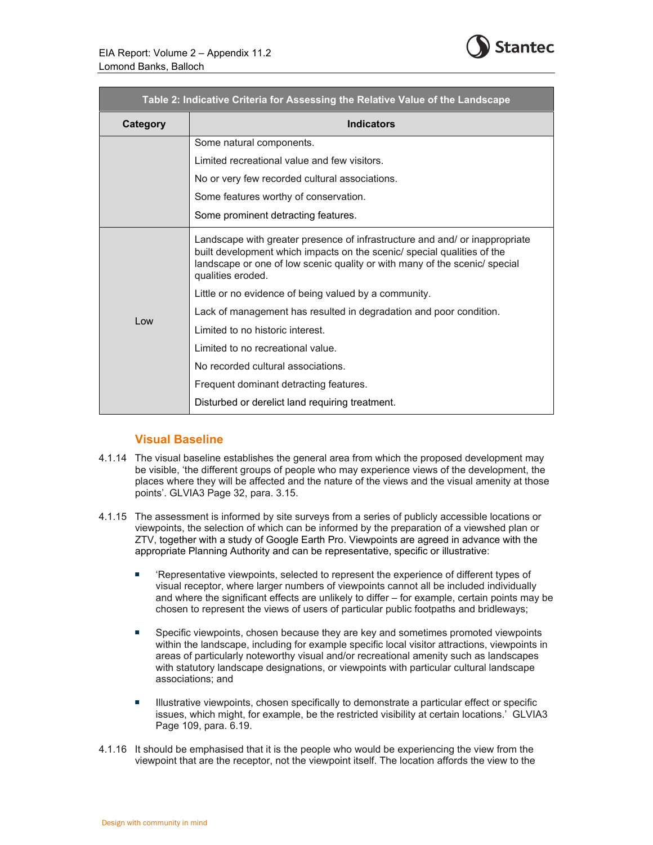

| Table 2: Indicative Criteria for Assessing the Relative Value of the Landscape |                                                                                                                                                                                                                                                          |
|--------------------------------------------------------------------------------|----------------------------------------------------------------------------------------------------------------------------------------------------------------------------------------------------------------------------------------------------------|
| Category                                                                       | <b>Indicators</b>                                                                                                                                                                                                                                        |
|                                                                                | Some natural components.                                                                                                                                                                                                                                 |
|                                                                                | Limited recreational value and few visitors.                                                                                                                                                                                                             |
|                                                                                | No or very few recorded cultural associations.                                                                                                                                                                                                           |
|                                                                                | Some features worthy of conservation.                                                                                                                                                                                                                    |
|                                                                                | Some prominent detracting features.                                                                                                                                                                                                                      |
|                                                                                | Landscape with greater presence of infrastructure and and/or inappropriate<br>built development which impacts on the scenic/ special qualities of the<br>landscape or one of low scenic quality or with many of the scenic/ special<br>qualities eroded. |
|                                                                                | Little or no evidence of being valued by a community.                                                                                                                                                                                                    |
| Low                                                                            | Lack of management has resulted in degradation and poor condition.                                                                                                                                                                                       |
|                                                                                | Limited to no historic interest.                                                                                                                                                                                                                         |
|                                                                                | Limited to no recreational value.                                                                                                                                                                                                                        |
|                                                                                | No recorded cultural associations.                                                                                                                                                                                                                       |
|                                                                                | Frequent dominant detracting features.                                                                                                                                                                                                                   |
|                                                                                | Disturbed or derelict land requiring treatment.                                                                                                                                                                                                          |
|                                                                                |                                                                                                                                                                                                                                                          |

### **Visual Baseline**

- 4.1.14 The visual baseline establishes the general area from which the proposed development may be visible, 'the different groups of people who may experience views of the development, the places where they will be affected and the nature of the views and the visual amenity at those points'. GLVIA3 Page 32, para. 3.15.
- 4.1.15 The assessment is informed by site surveys from a series of publicly accessible locations or viewpoints, the selection of which can be informed by the preparation of a viewshed plan or ZTV, together with a study of Google Earth Pro. Viewpoints are agreed in advance with the appropriate Planning Authority and can be representative, specific or illustrative:
	- 'Representative viewpoints, selected to represent the experience of different types of visual receptor, where larger numbers of viewpoints cannot all be included individually and where the significant effects are unlikely to differ – for example, certain points may be chosen to represent the views of users of particular public footpaths and bridleways;
	- **Specific viewpoints, chosen because they are key and sometimes promoted viewpoints** within the landscape, including for example specific local visitor attractions, viewpoints in areas of particularly noteworthy visual and/or recreational amenity such as landscapes with statutory landscape designations, or viewpoints with particular cultural landscape associations; and
	- **Illustrative viewpoints, chosen specifically to demonstrate a particular effect or specific** issues, which might, for example, be the restricted visibility at certain locations.' GLVIA3 Page 109, para. 6.19.
- 4.1.16 It should be emphasised that it is the people who would be experiencing the view from the viewpoint that are the receptor, not the viewpoint itself. The location affords the view to the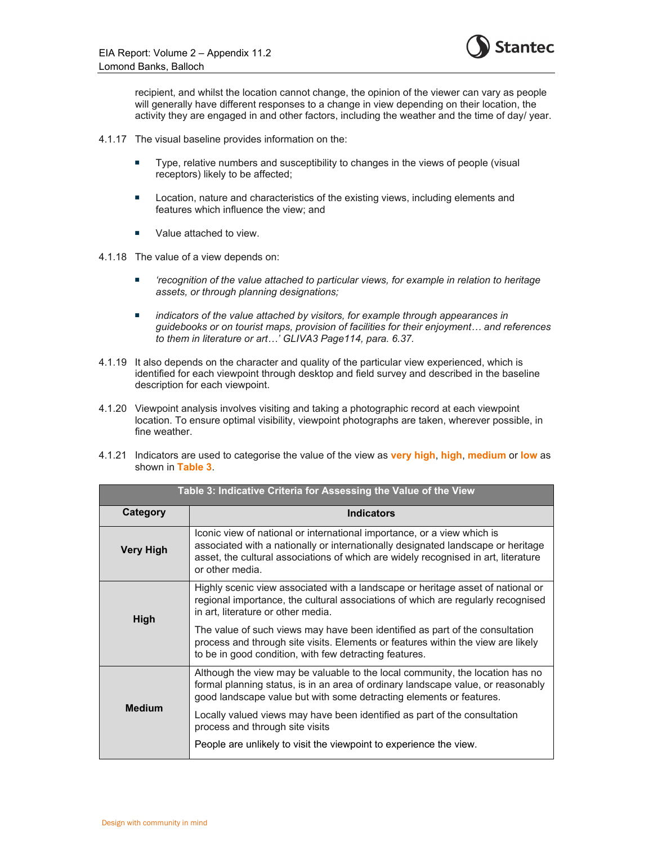

recipient, and whilst the location cannot change, the opinion of the viewer can vary as people will generally have different responses to a change in view depending on their location, the activity they are engaged in and other factors, including the weather and the time of day/ year.

- 4.1.17 The visual baseline provides information on the:
	- Type, relative numbers and susceptibility to changes in the views of people (visual receptors) likely to be affected;
	- **Location, nature and characteristics of the existing views, including elements and** features which influence the view; and
	- Value attached to view.

4.1.18 The value of a view depends on:

- *'recognition of the value attached to particular views, for example in relation to heritage assets, or through planning designations;*
- *indicators of the value attached by visitors, for example through appearances in guidebooks or on tourist maps, provision of facilities for their enjoyment… and references to them in literature or art…' GLIVA3 Page114, para. 6.37.*
- 4.1.19 It also depends on the character and quality of the particular view experienced, which is identified for each viewpoint through desktop and field survey and described in the baseline description for each viewpoint.
- 4.1.20 Viewpoint analysis involves visiting and taking a photographic record at each viewpoint location. To ensure optimal visibility, viewpoint photographs are taken, wherever possible, in fine weather.
- 4.1.21 Indicators are used to categorise the value of the view as **very high**, **high**, **medium** or **low** as shown in **Table 3**.

| Table 3: Indicative Criteria for Assessing the Value of the View |                                                                                                                                                                                                                                                                      |
|------------------------------------------------------------------|----------------------------------------------------------------------------------------------------------------------------------------------------------------------------------------------------------------------------------------------------------------------|
| Category                                                         | Indicators                                                                                                                                                                                                                                                           |
| Very High                                                        | Iconic view of national or international importance, or a view which is<br>associated with a nationally or internationally designated landscape or heritage<br>asset, the cultural associations of which are widely recognised in art, literature<br>or other media. |
| <b>High</b>                                                      | Highly scenic view associated with a landscape or heritage asset of national or<br>regional importance, the cultural associations of which are regularly recognised<br>in art, literature or other media.                                                            |
|                                                                  | The value of such views may have been identified as part of the consultation<br>process and through site visits. Elements or features within the view are likely<br>to be in good condition, with few detracting features.                                           |
|                                                                  | Although the view may be valuable to the local community, the location has no<br>formal planning status, is in an area of ordinary landscape value, or reasonably<br>good landscape value but with some detracting elements or features.                             |
| <b>Medium</b>                                                    | Locally valued views may have been identified as part of the consultation<br>process and through site visits                                                                                                                                                         |
|                                                                  | People are unlikely to visit the viewpoint to experience the view.                                                                                                                                                                                                   |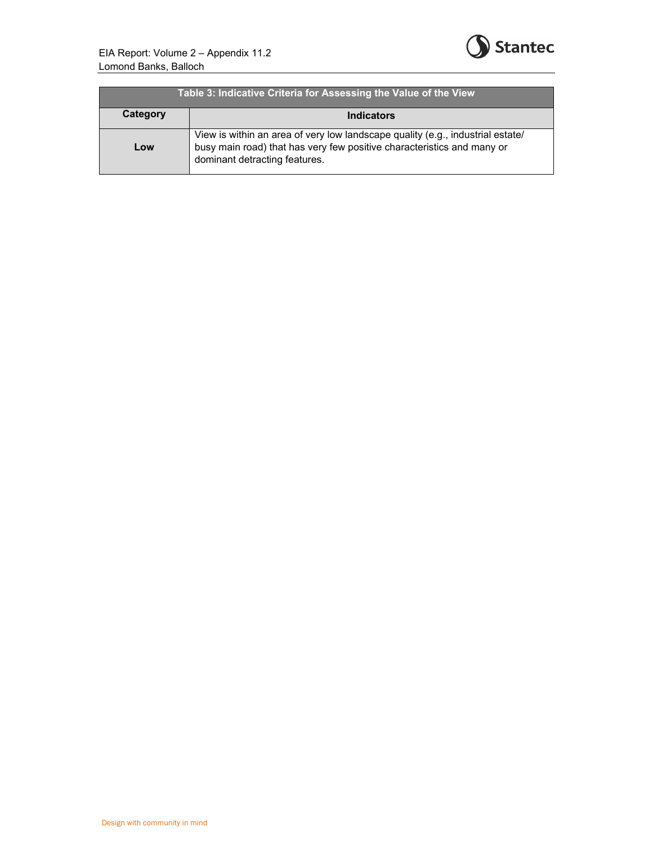

| Table 3: Indicative Criteria for Assessing the Value of the View |                                                                                                                                                                                           |
|------------------------------------------------------------------|-------------------------------------------------------------------------------------------------------------------------------------------------------------------------------------------|
| Category                                                         | <b>Indicators</b>                                                                                                                                                                         |
| Low                                                              | View is within an area of very low landscape quality (e.g., industrial estate/<br>busy main road) that has very few positive characteristics and many or<br>dominant detracting features. |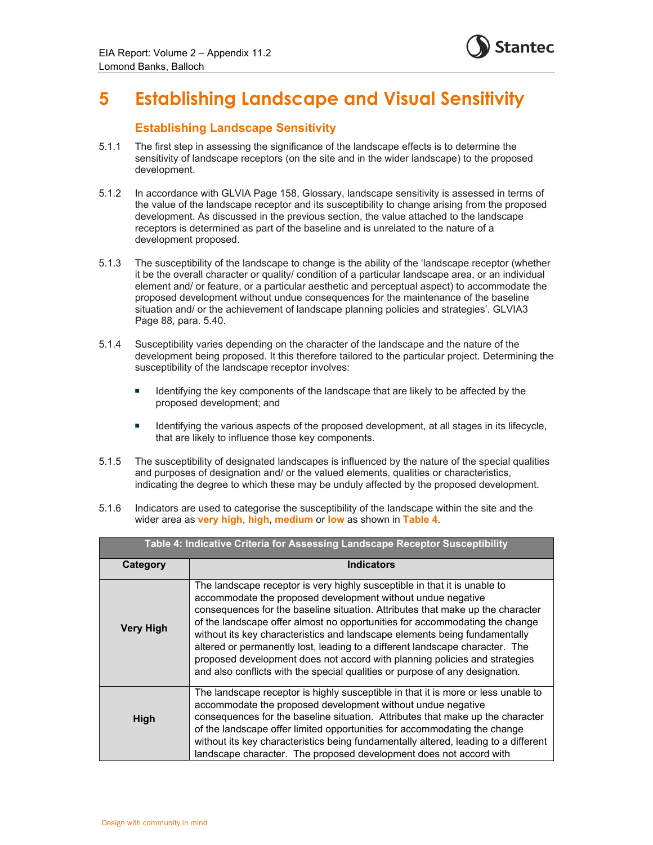

## **5 Establishing Landscape and Visual Sensitivity**

### **Establishing Landscape Sensitivity**

- 5.1.1 The first step in assessing the significance of the landscape effects is to determine the sensitivity of landscape receptors (on the site and in the wider landscape) to the proposed development.
- 5.1.2 In accordance with GLVIA Page 158, Glossary, landscape sensitivity is assessed in terms of the value of the landscape receptor and its susceptibility to change arising from the proposed development. As discussed in the previous section, the value attached to the landscape receptors is determined as part of the baseline and is unrelated to the nature of a development proposed.
- 5.1.3 The susceptibility of the landscape to change is the ability of the 'landscape receptor (whether it be the overall character or quality/ condition of a particular landscape area, or an individual element and/ or feature, or a particular aesthetic and perceptual aspect) to accommodate the proposed development without undue consequences for the maintenance of the baseline situation and/ or the achievement of landscape planning policies and strategies'. GLVIA3 Page 88, para. 5.40.
- 5.1.4 Susceptibility varies depending on the character of the landscape and the nature of the development being proposed. It this therefore tailored to the particular project. Determining the susceptibility of the landscape receptor involves:
	- Identifying the key components of the landscape that are likely to be affected by the proposed development; and
	- **IDENTIFY 11** Identifying the various aspects of the proposed development, at all stages in its lifecycle, that are likely to influence those key components.
- 5.1.5 The susceptibility of designated landscapes is influenced by the nature of the special qualities and purposes of designation and/ or the valued elements, qualities or characteristics, indicating the degree to which these may be unduly affected by the proposed development.
- 5.1.6 Indicators are used to categorise the susceptibility of the landscape within the site and the wider area as **very high**, **high**, **medium** or **low** as shown in **Table 4**.

| Table 4: Indicative Criteria for Assessing Landscape Receptor Susceptibility |                                                                                                                                                                                                                                                                                                                                                                                                                                                                                                                                                                                                                                       |
|------------------------------------------------------------------------------|---------------------------------------------------------------------------------------------------------------------------------------------------------------------------------------------------------------------------------------------------------------------------------------------------------------------------------------------------------------------------------------------------------------------------------------------------------------------------------------------------------------------------------------------------------------------------------------------------------------------------------------|
| Category                                                                     | <b>Indicators</b>                                                                                                                                                                                                                                                                                                                                                                                                                                                                                                                                                                                                                     |
| <b>Very High</b>                                                             | The landscape receptor is very highly susceptible in that it is unable to<br>accommodate the proposed development without undue negative<br>consequences for the baseline situation. Attributes that make up the character<br>of the landscape offer almost no opportunities for accommodating the change<br>without its key characteristics and landscape elements being fundamentally<br>altered or permanently lost, leading to a different landscape character. The<br>proposed development does not accord with planning policies and strategies<br>and also conflicts with the special qualities or purpose of any designation. |
| High                                                                         | The landscape receptor is highly susceptible in that it is more or less unable to<br>accommodate the proposed development without undue negative<br>consequences for the baseline situation. Attributes that make up the character<br>of the landscape offer limited opportunities for accommodating the change<br>without its key characteristics being fundamentally altered, leading to a different<br>landscape character. The proposed development does not accord with                                                                                                                                                          |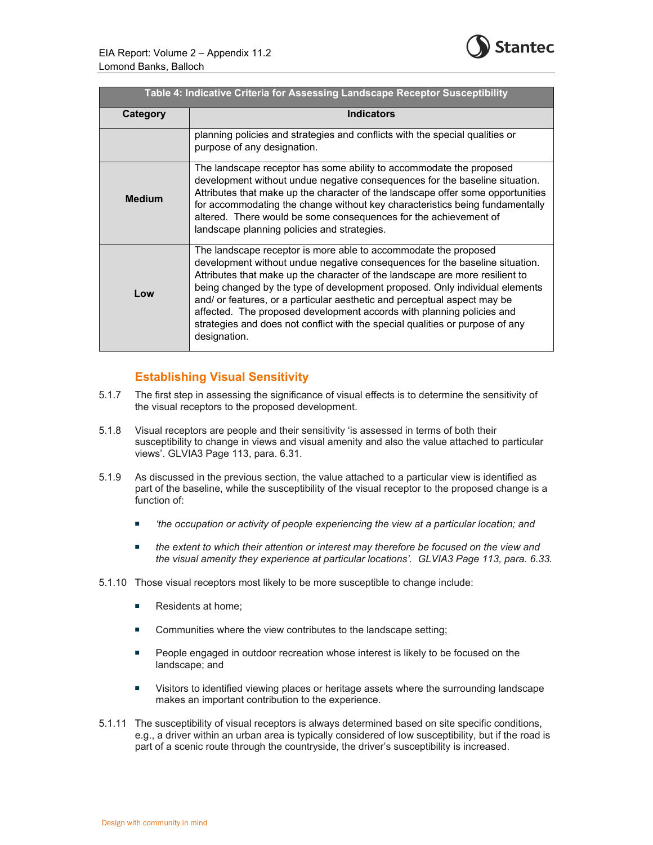

| Table 4: Indicative Criteria for Assessing Landscape Receptor Susceptibility |                                                                                                                                                                                                                                                                                                                                                                                                                                                                                                                                                                     |
|------------------------------------------------------------------------------|---------------------------------------------------------------------------------------------------------------------------------------------------------------------------------------------------------------------------------------------------------------------------------------------------------------------------------------------------------------------------------------------------------------------------------------------------------------------------------------------------------------------------------------------------------------------|
| Category                                                                     | <b>Indicators</b>                                                                                                                                                                                                                                                                                                                                                                                                                                                                                                                                                   |
|                                                                              | planning policies and strategies and conflicts with the special qualities or<br>purpose of any designation.                                                                                                                                                                                                                                                                                                                                                                                                                                                         |
| <b>Medium</b>                                                                | The landscape receptor has some ability to accommodate the proposed<br>development without undue negative consequences for the baseline situation.<br>Attributes that make up the character of the landscape offer some opportunities<br>for accommodating the change without key characteristics being fundamentally<br>altered. There would be some consequences for the achievement of<br>landscape planning policies and strategies.                                                                                                                            |
| Low                                                                          | The landscape receptor is more able to accommodate the proposed<br>development without undue negative consequences for the baseline situation.<br>Attributes that make up the character of the landscape are more resilient to<br>being changed by the type of development proposed. Only individual elements<br>and/ or features, or a particular aesthetic and perceptual aspect may be<br>affected. The proposed development accords with planning policies and<br>strategies and does not conflict with the special qualities or purpose of any<br>designation. |

### **Establishing Visual Sensitivity**

- 5.1.7 The first step in assessing the significance of visual effects is to determine the sensitivity of the visual receptors to the proposed development.
- 5.1.8 Visual receptors are people and their sensitivity 'is assessed in terms of both their susceptibility to change in views and visual amenity and also the value attached to particular views'. GLVIA3 Page 113, para. 6.31.
- 5.1.9 As discussed in the previous section, the value attached to a particular view is identified as part of the baseline, while the susceptibility of the visual receptor to the proposed change is a function of:
	- *'the occupation or activity of people experiencing the view at a particular location; and*
	- *the extent to which their attention or interest may therefore be focused on the view and the visual amenity they experience at particular locations'. GLVIA3 Page 113, para. 6.33.*
- 5.1.10 Those visual receptors most likely to be more susceptible to change include:
	- Residents at home;
	- Communities where the view contributes to the landscape setting;
	- **People engaged in outdoor recreation whose interest is likely to be focused on the** landscape; and
	- **Uisitors to identified viewing places or heritage assets where the surrounding landscape** makes an important contribution to the experience.
- 5.1.11 The susceptibility of visual receptors is always determined based on site specific conditions, e.g., a driver within an urban area is typically considered of low susceptibility, but if the road is part of a scenic route through the countryside, the driver's susceptibility is increased.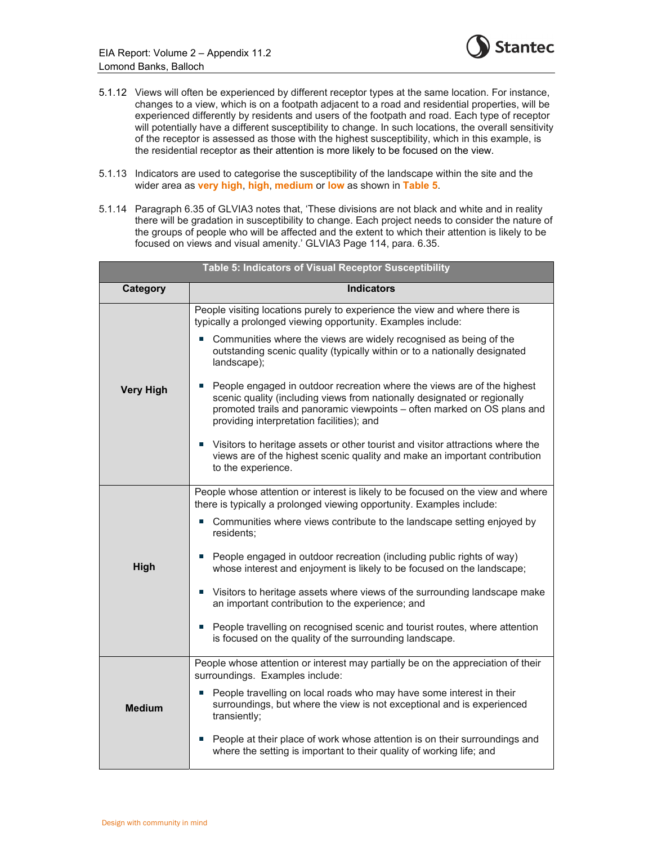

- 5.1.12 Views will often be experienced by different receptor types at the same location. For instance, changes to a view, which is on a footpath adjacent to a road and residential properties, will be experienced differently by residents and users of the footpath and road. Each type of receptor will potentially have a different susceptibility to change. In such locations, the overall sensitivity of the receptor is assessed as those with the highest susceptibility, which in this example, is the residential receptor as their attention is more likely to be focused on the view.
- 5.1.13 Indicators are used to categorise the susceptibility of the landscape within the site and the wider area as **very high**, **high**, **medium** or **low** as shown in **Table 5**.
- 5.1.14 Paragraph 6.35 of GLVIA3 notes that, 'These divisions are not black and white and in reality there will be gradation in susceptibility to change. Each project needs to consider the nature of the groups of people who will be affected and the extent to which their attention is likely to be focused on views and visual amenity.' GLVIA3 Page 114, para. 6.35.

| Table 5: Indicators of Visual Receptor Susceptibility |                                                                                                                                                                                                                                                                             |  |
|-------------------------------------------------------|-----------------------------------------------------------------------------------------------------------------------------------------------------------------------------------------------------------------------------------------------------------------------------|--|
| Category                                              | <b>Indicators</b>                                                                                                                                                                                                                                                           |  |
|                                                       | People visiting locations purely to experience the view and where there is<br>typically a prolonged viewing opportunity. Examples include:                                                                                                                                  |  |
|                                                       | Communities where the views are widely recognised as being of the<br>outstanding scenic quality (typically within or to a nationally designated<br>landscape);                                                                                                              |  |
| <b>Very High</b>                                      | People engaged in outdoor recreation where the views are of the highest<br>scenic quality (including views from nationally designated or regionally<br>promoted trails and panoramic viewpoints - often marked on OS plans and<br>providing interpretation facilities); and |  |
|                                                       | Visitors to heritage assets or other tourist and visitor attractions where the<br>$\mathcal{L}_{\mathcal{A}}$<br>views are of the highest scenic quality and make an important contribution<br>to the experience.                                                           |  |
|                                                       | People whose attention or interest is likely to be focused on the view and where<br>there is typically a prolonged viewing opportunity. Examples include:                                                                                                                   |  |
|                                                       | Communities where views contribute to the landscape setting enjoyed by<br>m.<br>residents;                                                                                                                                                                                  |  |
| High                                                  | ■ People engaged in outdoor recreation (including public rights of way)<br>whose interest and enjoyment is likely to be focused on the landscape;                                                                                                                           |  |
|                                                       | ■ Visitors to heritage assets where views of the surrounding landscape make<br>an important contribution to the experience; and                                                                                                                                             |  |
|                                                       | People travelling on recognised scenic and tourist routes, where attention<br>is focused on the quality of the surrounding landscape.                                                                                                                                       |  |
|                                                       | People whose attention or interest may partially be on the appreciation of their<br>surroundings. Examples include:                                                                                                                                                         |  |
| <b>Medium</b>                                         | ■ People travelling on local roads who may have some interest in their<br>surroundings, but where the view is not exceptional and is experienced<br>transiently;                                                                                                            |  |
|                                                       | People at their place of work whose attention is on their surroundings and<br>×.<br>where the setting is important to their quality of working life; and                                                                                                                    |  |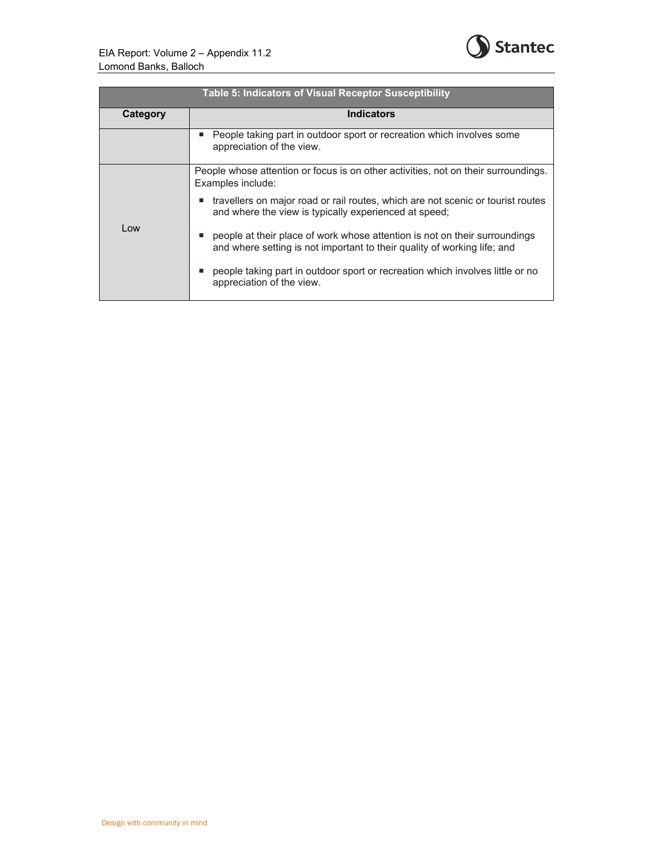

| Table 5: Indicators of Visual Receptor Susceptibility |                                                                                                                                                        |
|-------------------------------------------------------|--------------------------------------------------------------------------------------------------------------------------------------------------------|
| Category                                              | <b>Indicators</b>                                                                                                                                      |
|                                                       | People taking part in outdoor sport or recreation which involves some<br>appreciation of the view.                                                     |
|                                                       | People whose attention or focus is on other activities, not on their surroundings.<br>Examples include:                                                |
|                                                       | travellers on major road or rail routes, which are not scenic or tourist routes<br>and where the view is typically experienced at speed;               |
| Low                                                   | people at their place of work whose attention is not on their surroundings<br>and where setting is not important to their quality of working life; and |
|                                                       | people taking part in outdoor sport or recreation which involves little or no<br>appreciation of the view.                                             |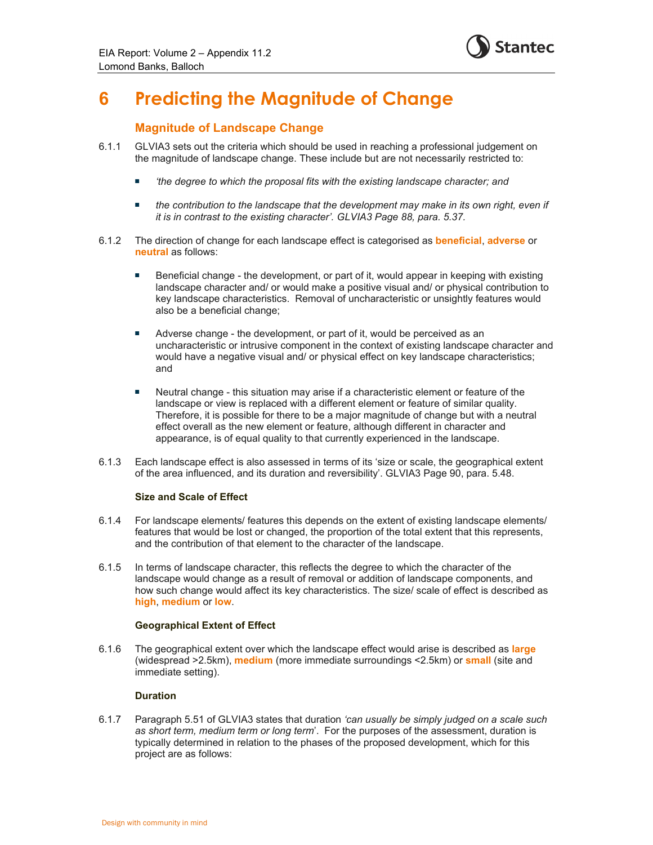

## **6 Predicting the Magnitude of Change**

### **Magnitude of Landscape Change**

- 6.1.1 GLVIA3 sets out the criteria which should be used in reaching a professional judgement on the magnitude of landscape change. These include but are not necessarily restricted to:
	- *'the degree to which the proposal fits with the existing landscape character; and*
	- **the contribution to the landscape that the development may make in its own right, even if** *it is in contrast to the existing character'. GLVIA3 Page 88, para. 5.37.*
- 6.1.2 The direction of change for each landscape effect is categorised as **beneficial**, **adverse** or **neutral** as follows:
	- Beneficial change the development, or part of it, would appear in keeping with existing landscape character and/ or would make a positive visual and/ or physical contribution to key landscape characteristics. Removal of uncharacteristic or unsightly features would also be a beneficial change;
	- **Adverse change the development, or part of it, would be perceived as an** uncharacteristic or intrusive component in the context of existing landscape character and would have a negative visual and/ or physical effect on key landscape characteristics; and
	- Neutral change this situation may arise if a characteristic element or feature of the landscape or view is replaced with a different element or feature of similar quality. Therefore, it is possible for there to be a major magnitude of change but with a neutral effect overall as the new element or feature, although different in character and appearance, is of equal quality to that currently experienced in the landscape.
- 6.1.3 Each landscape effect is also assessed in terms of its 'size or scale, the geographical extent of the area influenced, and its duration and reversibility'. GLVIA3 Page 90, para. 5.48.

#### **Size and Scale of Effect**

- 6.1.4 For landscape elements/ features this depends on the extent of existing landscape elements/ features that would be lost or changed, the proportion of the total extent that this represents, and the contribution of that element to the character of the landscape.
- 6.1.5 In terms of landscape character, this reflects the degree to which the character of the landscape would change as a result of removal or addition of landscape components, and how such change would affect its key characteristics. The size/ scale of effect is described as **high**, **medium** or **low**.

#### **Geographical Extent of Effect**

6.1.6 The geographical extent over which the landscape effect would arise is described as **large** (widespread >2.5km), **medium** (more immediate surroundings <2.5km) or **small** (site and immediate setting).

#### **Duration**

6.1.7 Paragraph 5.51 of GLVIA3 states that duration *'can usually be simply judged on a scale such as short term, medium term or long term*'. For the purposes of the assessment, duration is typically determined in relation to the phases of the proposed development, which for this project are as follows: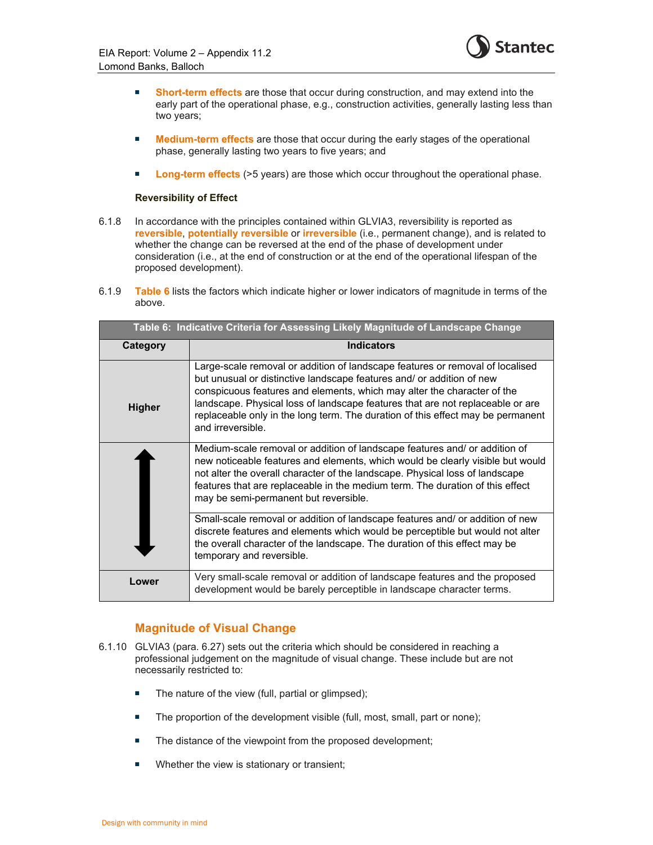

- **Short-term effects** are those that occur during construction, and may extend into the early part of the operational phase, e.g., construction activities, generally lasting less than two years;
- **Medium-term effects** are those that occur during the early stages of the operational phase, generally lasting two years to five years; and
- **Long-term effects** (>5 years) are those which occur throughout the operational phase.

#### **Reversibility of Effect**

- 6.1.8 In accordance with the principles contained within GLVIA3, reversibility is reported as **reversible**, **potentially reversible** or **irreversible** (i.e., permanent change), and is related to whether the change can be reversed at the end of the phase of development under consideration (i.e., at the end of construction or at the end of the operational lifespan of the proposed development).
- 6.1.9 **Table 6** lists the factors which indicate higher or lower indicators of magnitude in terms of the above.

| Table 6: Indicative Criteria for Assessing Likely Magnitude of Landscape Change |                                                                                                                                                                                                                                                                                                                                                                                                                             |
|---------------------------------------------------------------------------------|-----------------------------------------------------------------------------------------------------------------------------------------------------------------------------------------------------------------------------------------------------------------------------------------------------------------------------------------------------------------------------------------------------------------------------|
| Category                                                                        | <b>Indicators</b>                                                                                                                                                                                                                                                                                                                                                                                                           |
| <b>Higher</b>                                                                   | Large-scale removal or addition of landscape features or removal of localised<br>but unusual or distinctive landscape features and/ or addition of new<br>conspicuous features and elements, which may alter the character of the<br>landscape. Physical loss of landscape features that are not replaceable or are<br>replaceable only in the long term. The duration of this effect may be permanent<br>and irreversible. |
|                                                                                 | Medium-scale removal or addition of landscape features and/ or addition of<br>new noticeable features and elements, which would be clearly visible but would<br>not alter the overall character of the landscape. Physical loss of landscape<br>features that are replaceable in the medium term. The duration of this effect<br>may be semi-permanent but reversible.                                                      |
|                                                                                 | Small-scale removal or addition of landscape features and/ or addition of new<br>discrete features and elements which would be perceptible but would not alter<br>the overall character of the landscape. The duration of this effect may be<br>temporary and reversible.                                                                                                                                                   |
| Lower                                                                           | Very small-scale removal or addition of landscape features and the proposed<br>development would be barely perceptible in landscape character terms.                                                                                                                                                                                                                                                                        |

### **Magnitude of Visual Change**

- 6.1.10 GLVIA3 (para. 6.27) sets out the criteria which should be considered in reaching a professional judgement on the magnitude of visual change. These include but are not necessarily restricted to:
	- The nature of the view (full, partial or glimpsed);
	- The proportion of the development visible (full, most, small, part or none);
	- The distance of the viewpoint from the proposed development;
	- **Number 6** View is stationary or transient;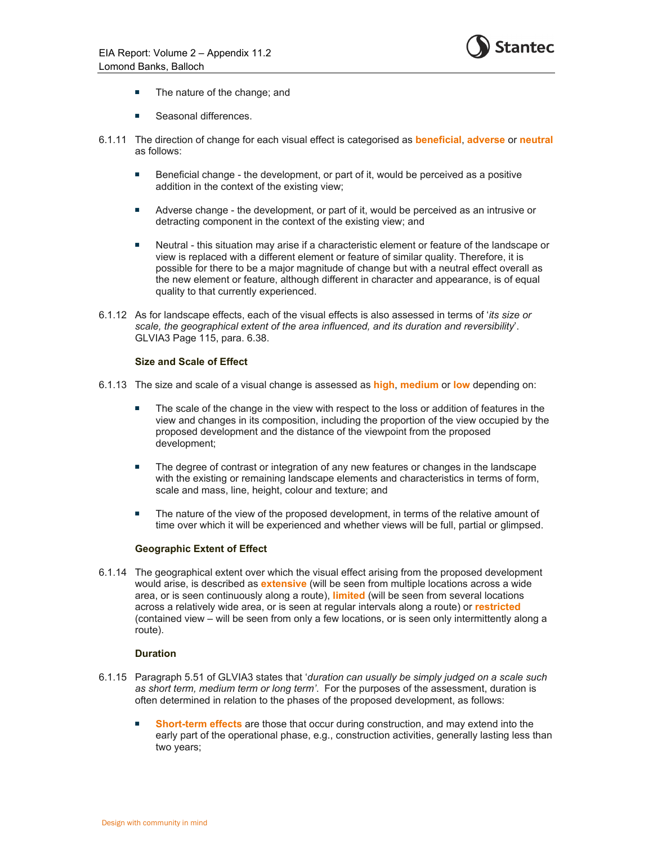

- The nature of the change; and
- Seasonal differences.
- 6.1.11 The direction of change for each visual effect is categorised as **beneficial**, **adverse** or **neutral** as follows:
	- Beneficial change the development, or part of it, would be perceived as a positive addition in the context of the existing view;
	- Adverse change the development, or part of it, would be perceived as an intrusive or detracting component in the context of the existing view; and
	- Neutral this situation may arise if a characteristic element or feature of the landscape or view is replaced with a different element or feature of similar quality. Therefore, it is possible for there to be a major magnitude of change but with a neutral effect overall as the new element or feature, although different in character and appearance, is of equal quality to that currently experienced.
- 6.1.12 As for landscape effects, each of the visual effects is also assessed in terms of '*its size or scale, the geographical extent of the area influenced, and its duration and reversibility*'. GLVIA3 Page 115, para. 6.38.

#### **Size and Scale of Effect**

- 6.1.13 The size and scale of a visual change is assessed as **high**, **medium** or **low** depending on:
	- The scale of the change in the view with respect to the loss or addition of features in the view and changes in its composition, including the proportion of the view occupied by the proposed development and the distance of the viewpoint from the proposed development;
	- **The degree of contrast or integration of any new features or changes in the landscape** with the existing or remaining landscape elements and characteristics in terms of form, scale and mass, line, height, colour and texture; and
	- The nature of the view of the proposed development, in terms of the relative amount of time over which it will be experienced and whether views will be full, partial or glimpsed.

#### **Geographic Extent of Effect**

6.1.14 The geographical extent over which the visual effect arising from the proposed development would arise, is described as **extensive** (will be seen from multiple locations across a wide area, or is seen continuously along a route), **limited** (will be seen from several locations across a relatively wide area, or is seen at regular intervals along a route) or **restricted** (contained view – will be seen from only a few locations, or is seen only intermittently along a route).

#### **Duration**

- 6.1.15 Paragraph 5.51 of GLVIA3 states that '*duration can usually be simply judged on a scale such as short term, medium term or long term'*. For the purposes of the assessment, duration is often determined in relation to the phases of the proposed development, as follows:
	- **Short-term effects** are those that occur during construction, and may extend into the early part of the operational phase, e.g., construction activities, generally lasting less than two years;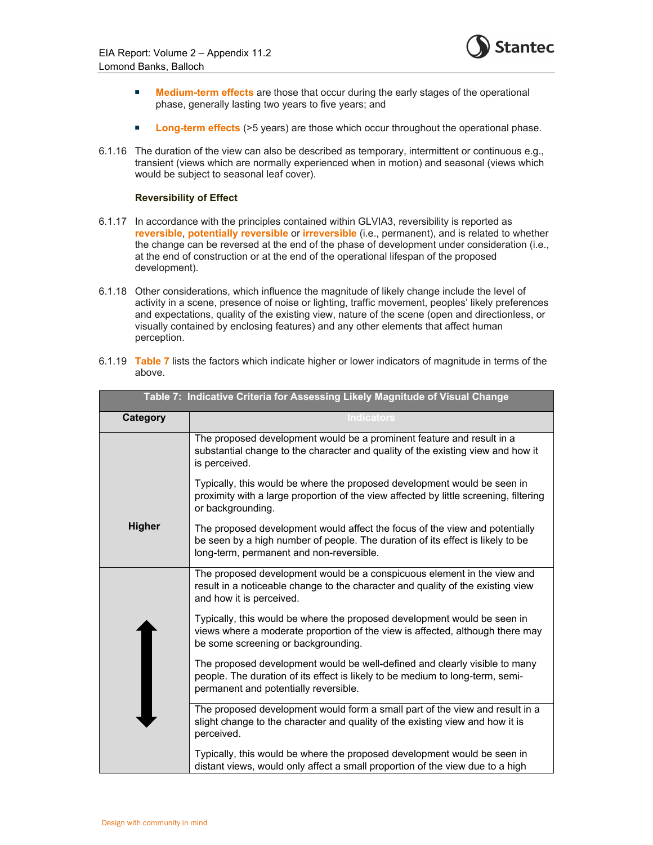

- **Medium-term effects** are those that occur during the early stages of the operational phase, generally lasting two years to five years; and
- **Long-term effects** (>5 years) are those which occur throughout the operational phase.
- 6.1.16 The duration of the view can also be described as temporary, intermittent or continuous e.g., transient (views which are normally experienced when in motion) and seasonal (views which would be subject to seasonal leaf cover).

#### **Reversibility of Effect**

- 6.1.17 In accordance with the principles contained within GLVIA3, reversibility is reported as **reversible**, **potentially reversible** or **irreversible** (i.e., permanent), and is related to whether the change can be reversed at the end of the phase of development under consideration (i.e., at the end of construction or at the end of the operational lifespan of the proposed development).
- 6.1.18 Other considerations, which influence the magnitude of likely change include the level of activity in a scene, presence of noise or lighting, traffic movement, peoples' likely preferences and expectations, quality of the existing view, nature of the scene (open and directionless, or visually contained by enclosing features) and any other elements that affect human perception.

| 6.1.19 Table 7 lists the factors which indicate higher or lower indicators of magnitude in terms of the |
|---------------------------------------------------------------------------------------------------------|
| above.                                                                                                  |

| Table 7: Indicative Criteria for Assessing Likely Magnitude of Visual Change |                                                                                                                                                                                                           |
|------------------------------------------------------------------------------|-----------------------------------------------------------------------------------------------------------------------------------------------------------------------------------------------------------|
| Category                                                                     | <b>Indicators</b>                                                                                                                                                                                         |
|                                                                              | The proposed development would be a prominent feature and result in a<br>substantial change to the character and quality of the existing view and how it<br>is perceived.                                 |
|                                                                              | Typically, this would be where the proposed development would be seen in<br>proximity with a large proportion of the view affected by little screening, filtering<br>or backgrounding.                    |
| <b>Higher</b>                                                                | The proposed development would affect the focus of the view and potentially<br>be seen by a high number of people. The duration of its effect is likely to be<br>long-term, permanent and non-reversible. |
|                                                                              | The proposed development would be a conspicuous element in the view and<br>result in a noticeable change to the character and quality of the existing view<br>and how it is perceived.                    |
|                                                                              | Typically, this would be where the proposed development would be seen in<br>views where a moderate proportion of the view is affected, although there may<br>be some screening or backgrounding.          |
|                                                                              | The proposed development would be well-defined and clearly visible to many<br>people. The duration of its effect is likely to be medium to long-term, semi-<br>permanent and potentially reversible.      |
|                                                                              | The proposed development would form a small part of the view and result in a<br>slight change to the character and quality of the existing view and how it is<br>perceived.                               |
|                                                                              | Typically, this would be where the proposed development would be seen in<br>distant views, would only affect a small proportion of the view due to a high                                                 |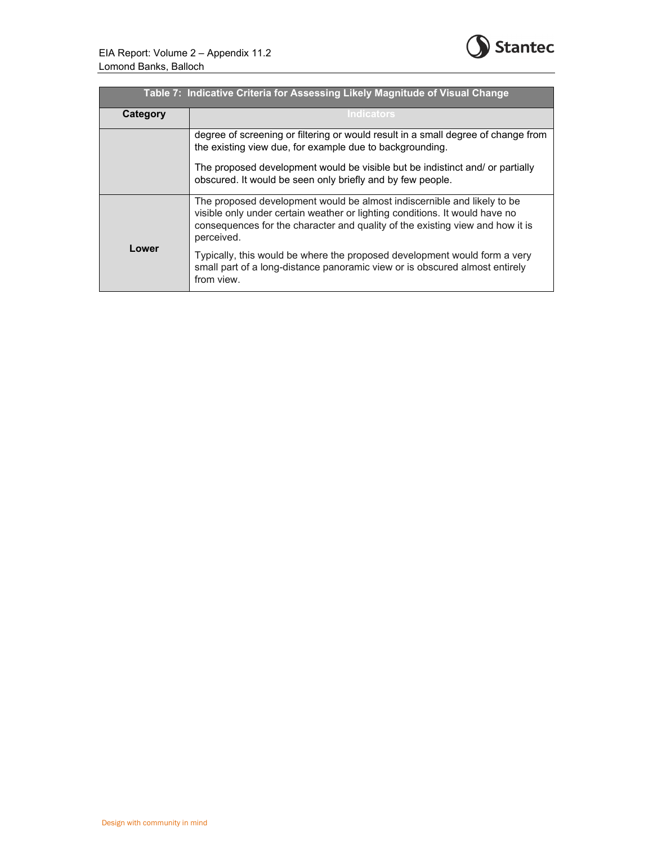

| Table 7: Indicative Criteria for Assessing Likely Magnitude of Visual Change |                                                                                                                                                                                                                                                       |  |  |  |  |  |  |
|------------------------------------------------------------------------------|-------------------------------------------------------------------------------------------------------------------------------------------------------------------------------------------------------------------------------------------------------|--|--|--|--|--|--|
| Category                                                                     | <b>Indicators</b>                                                                                                                                                                                                                                     |  |  |  |  |  |  |
|                                                                              | degree of screening or filtering or would result in a small degree of change from<br>the existing view due, for example due to backgrounding.                                                                                                         |  |  |  |  |  |  |
|                                                                              | The proposed development would be visible but be indistinct and/ or partially<br>obscured. It would be seen only briefly and by few people.                                                                                                           |  |  |  |  |  |  |
|                                                                              | The proposed development would be almost indiscernible and likely to be<br>visible only under certain weather or lighting conditions. It would have no<br>consequences for the character and quality of the existing view and how it is<br>perceived. |  |  |  |  |  |  |
| Lower                                                                        | Typically, this would be where the proposed development would form a very<br>small part of a long-distance panoramic view or is obscured almost entirely<br>from view.                                                                                |  |  |  |  |  |  |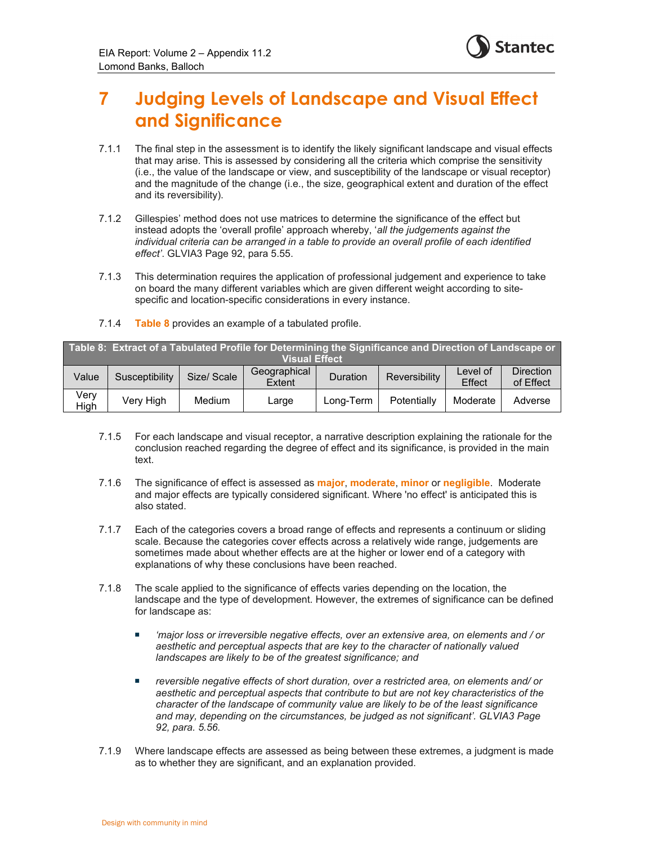

## **7 Judging Levels of Landscape and Visual Effect and Significance**

- 7.1.1 The final step in the assessment is to identify the likely significant landscape and visual effects that may arise. This is assessed by considering all the criteria which comprise the sensitivity (i.e., the value of the landscape or view, and susceptibility of the landscape or visual receptor) and the magnitude of the change (i.e., the size, geographical extent and duration of the effect and its reversibility).
- 7.1.2 Gillespies' method does not use matrices to determine the significance of the effect but instead adopts the 'overall profile' approach whereby, '*all the judgements against the individual criteria can be arranged in a table to provide an overall profile of each identified effect'*. GLVIA3 Page 92, para 5.55.
- 7.1.3 This determination requires the application of professional judgement and experience to take on board the many different variables which are given different weight according to sitespecific and location-specific considerations in every instance.
- 7.1.4 **Table 8** provides an example of a tabulated profile.

| Table 8: Extract of a Tabulated Profile for Determining the Significance and Direction of Landscape or |                |             |                        |           |                      |                    |                               |  |  |
|--------------------------------------------------------------------------------------------------------|----------------|-------------|------------------------|-----------|----------------------|--------------------|-------------------------------|--|--|
| <b>Visual Effect</b>                                                                                   |                |             |                        |           |                      |                    |                               |  |  |
| Value                                                                                                  | Susceptibility | Size/ Scale | Geographical<br>Extent | Duration  | <b>Reversibility</b> | Level of<br>Effect | <b>Direction</b><br>of Effect |  |  |
| Verv<br>High                                                                                           | Very High      | Medium      | Large                  | Long-Term | Potentially          | Moderate           | Adverse                       |  |  |

- 7.1.5 For each landscape and visual receptor, a narrative description explaining the rationale for the conclusion reached regarding the degree of effect and its significance, is provided in the main text.
- 7.1.6 The significance of effect is assessed as **major**, **moderate**, **minor** or **negligible**. Moderate and major effects are typically considered significant. Where 'no effect' is anticipated this is also stated.
- 7.1.7 Each of the categories covers a broad range of effects and represents a continuum or sliding scale. Because the categories cover effects across a relatively wide range, judgements are sometimes made about whether effects are at the higher or lower end of a category with explanations of why these conclusions have been reached.
- 7.1.8 The scale applied to the significance of effects varies depending on the location, the landscape and the type of development. However, the extremes of significance can be defined for landscape as:
	- *'major loss or irreversible negative effects, over an extensive area, on elements and / or aesthetic and perceptual aspects that are key to the character of nationally valued landscapes are likely to be of the greatest significance; and*
	- *reversible negative effects of short duration, over a restricted area, on elements and/ or aesthetic and perceptual aspects that contribute to but are not key characteristics of the character of the landscape of community value are likely to be of the least significance and may, depending on the circumstances, be judged as not significant'. GLVIA3 Page 92, para. 5.56.*
- 7.1.9 Where landscape effects are assessed as being between these extremes, a judgment is made as to whether they are significant, and an explanation provided.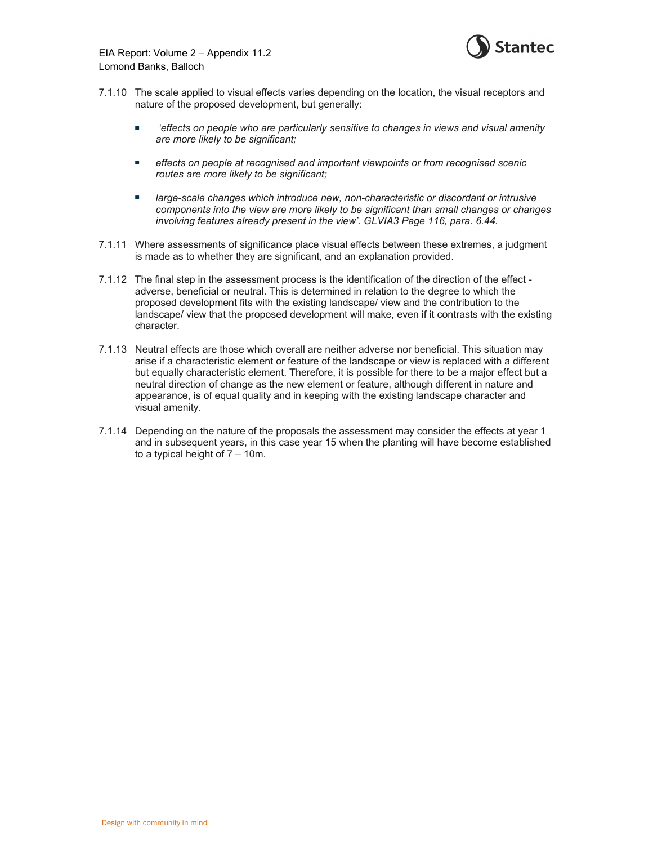

- 7.1.10 The scale applied to visual effects varies depending on the location, the visual receptors and nature of the proposed development, but generally:
	- *'effects on people who are particularly sensitive to changes in views and visual amenity are more likely to be significant;*
	- *effects on people at recognised and important viewpoints or from recognised scenic routes are more likely to be significant;*
	- *large-scale changes which introduce new, non-characteristic or discordant or intrusive components into the view are more likely to be significant than small changes or changes involving features already present in the view'. GLVIA3 Page 116, para. 6.44.*
- 7.1.11 Where assessments of significance place visual effects between these extremes, a judgment is made as to whether they are significant, and an explanation provided.
- 7.1.12 The final step in the assessment process is the identification of the direction of the effect adverse, beneficial or neutral. This is determined in relation to the degree to which the proposed development fits with the existing landscape/ view and the contribution to the landscape/ view that the proposed development will make, even if it contrasts with the existing character.
- 7.1.13 Neutral effects are those which overall are neither adverse nor beneficial. This situation may arise if a characteristic element or feature of the landscape or view is replaced with a different but equally characteristic element. Therefore, it is possible for there to be a major effect but a neutral direction of change as the new element or feature, although different in nature and appearance, is of equal quality and in keeping with the existing landscape character and visual amenity.
- 7.1.14 Depending on the nature of the proposals the assessment may consider the effects at year 1 and in subsequent years, in this case year 15 when the planting will have become established to a typical height of 7 – 10m.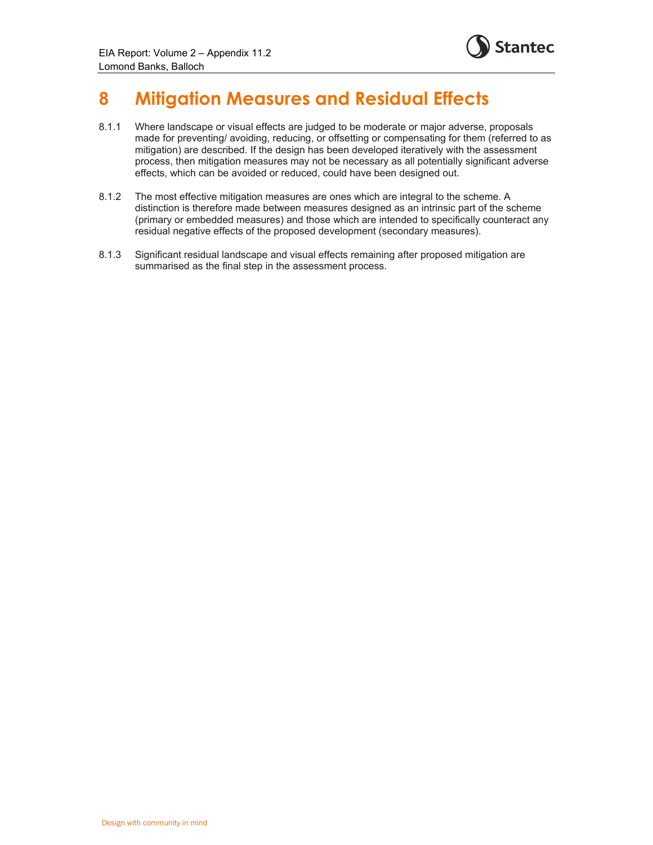

## **8 Mitigation Measures and Residual Effects**

- 8.1.1 Where landscape or visual effects are judged to be moderate or major adverse, proposals made for preventing/ avoiding, reducing, or offsetting or compensating for them (referred to as mitigation) are described. If the design has been developed iteratively with the assessment process, then mitigation measures may not be necessary as all potentially significant adverse effects, which can be avoided or reduced, could have been designed out.
- 8.1.2 The most effective mitigation measures are ones which are integral to the scheme. A distinction is therefore made between measures designed as an intrinsic part of the scheme (primary or embedded measures) and those which are intended to specifically counteract any residual negative effects of the proposed development (secondary measures).
- 8.1.3 Significant residual landscape and visual effects remaining after proposed mitigation are summarised as the final step in the assessment process.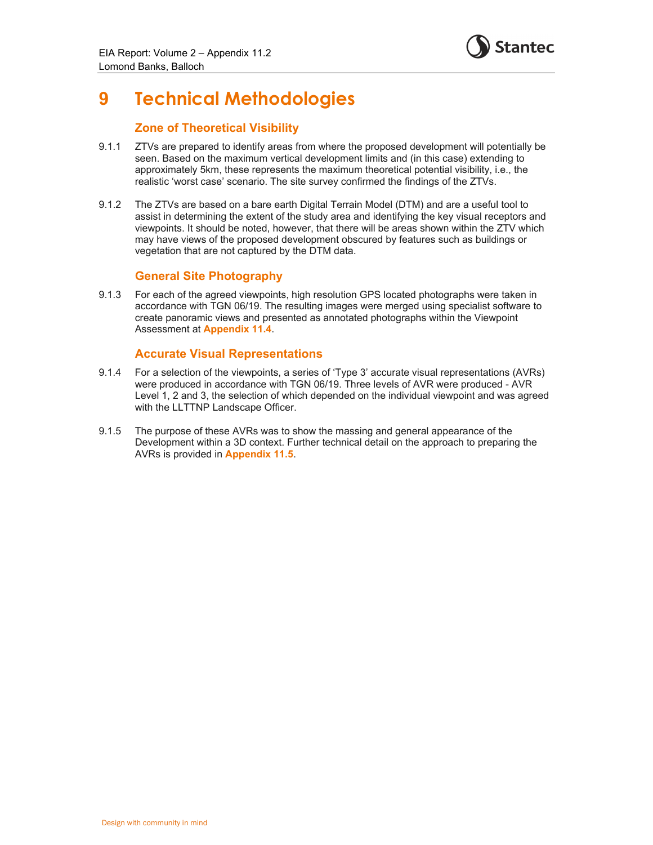## **9 Technical Methodologies**

### **Zone of Theoretical Visibility**

- 9.1.1 ZTVs are prepared to identify areas from where the proposed development will potentially be seen. Based on the maximum vertical development limits and (in this case) extending to approximately 5km, these represents the maximum theoretical potential visibility, i.e., the realistic 'worst case' scenario. The site survey confirmed the findings of the ZTVs.
- 9.1.2 The ZTVs are based on a bare earth Digital Terrain Model (DTM) and are a useful tool to assist in determining the extent of the study area and identifying the key visual receptors and viewpoints. It should be noted, however, that there will be areas shown within the ZTV which may have views of the proposed development obscured by features such as buildings or vegetation that are not captured by the DTM data.

### **General Site Photography**

9.1.3 For each of the agreed viewpoints, high resolution GPS located photographs were taken in accordance with TGN 06/19. The resulting images were merged using specialist software to create panoramic views and presented as annotated photographs within the Viewpoint Assessment at **Appendix 11.4**.

### **Accurate Visual Representations**

- 9.1.4 For a selection of the viewpoints, a series of 'Type 3' accurate visual representations (AVRs) were produced in accordance with TGN 06/19. Three levels of AVR were produced - AVR Level 1, 2 and 3, the selection of which depended on the individual viewpoint and was agreed with the LLTTNP Landscape Officer.
- 9.1.5 The purpose of these AVRs was to show the massing and general appearance of the Development within a 3D context. Further technical detail on the approach to preparing the AVRs is provided in **Appendix 11.5**.